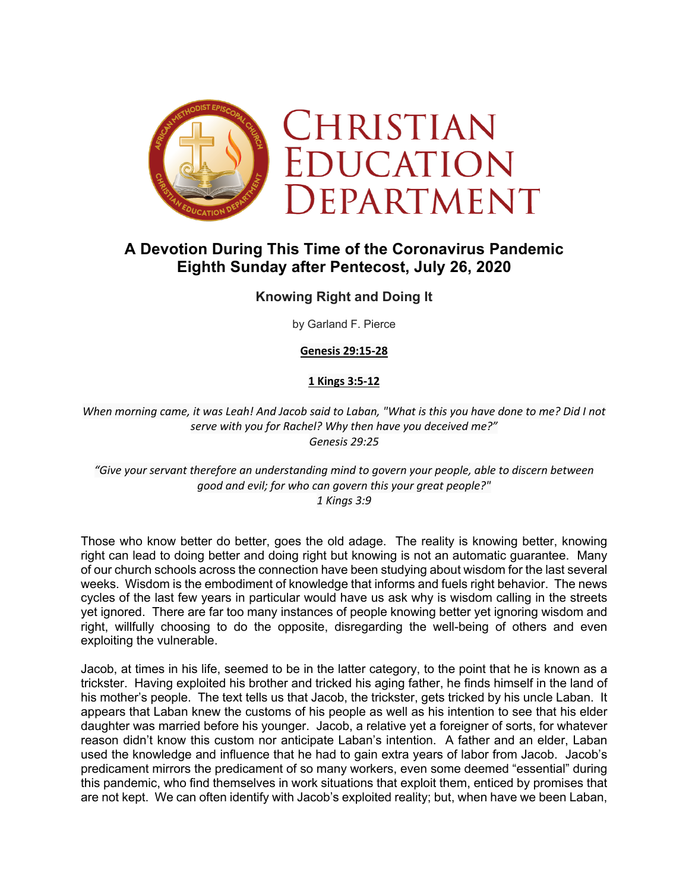

# **A Devotion During This Time of the Coronavirus Pandemic Eighth Sunday after Pentecost, July 26, 2020**

# **Knowing Right and Doing It**

by Garland F. Pierce

**Genesis 29:15-28**

# **1 Kings 3:5-12**

*When morning came, it was Leah! And Jacob said to Laban, "What is this you have done to me? Did I not serve with you for Rachel? Why then have you deceived me?" Genesis 29:25*

*"Give your servant therefore an understanding mind to govern your people, able to discern between good and evil; for who can govern this your great people?" 1 Kings 3:9*

Those who know better do better, goes the old adage. The reality is knowing better, knowing right can lead to doing better and doing right but knowing is not an automatic guarantee. Many of our church schools across the connection have been studying about wisdom for the last several weeks. Wisdom is the embodiment of knowledge that informs and fuels right behavior. The news cycles of the last few years in particular would have us ask why is wisdom calling in the streets yet ignored. There are far too many instances of people knowing better yet ignoring wisdom and right, willfully choosing to do the opposite, disregarding the well-being of others and even exploiting the vulnerable.

Jacob, at times in his life, seemed to be in the latter category, to the point that he is known as a trickster. Having exploited his brother and tricked his aging father, he finds himself in the land of his mother's people. The text tells us that Jacob, the trickster, gets tricked by his uncle Laban. It appears that Laban knew the customs of his people as well as his intention to see that his elder daughter was married before his younger. Jacob, a relative yet a foreigner of sorts, for whatever reason didn't know this custom nor anticipate Laban's intention. A father and an elder, Laban used the knowledge and influence that he had to gain extra years of labor from Jacob. Jacob's predicament mirrors the predicament of so many workers, even some deemed "essential" during this pandemic, who find themselves in work situations that exploit them, enticed by promises that are not kept. We can often identify with Jacob's exploited reality; but, when have we been Laban,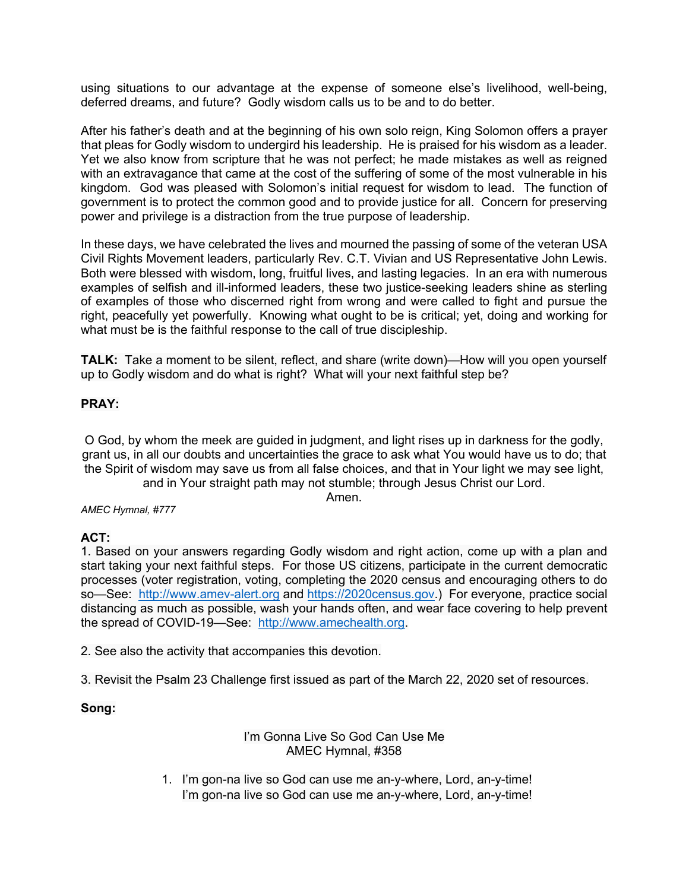using situations to our advantage at the expense of someone else's livelihood, well-being, deferred dreams, and future? Godly wisdom calls us to be and to do better.

After his father's death and at the beginning of his own solo reign, King Solomon offers a prayer that pleas for Godly wisdom to undergird his leadership. He is praised for his wisdom as a leader. Yet we also know from scripture that he was not perfect; he made mistakes as well as reigned with an extravagance that came at the cost of the suffering of some of the most vulnerable in his kingdom. God was pleased with Solomon's initial request for wisdom to lead. The function of government is to protect the common good and to provide justice for all. Concern for preserving power and privilege is a distraction from the true purpose of leadership.

In these days, we have celebrated the lives and mourned the passing of some of the veteran USA Civil Rights Movement leaders, particularly Rev. C.T. Vivian and US Representative John Lewis. Both were blessed with wisdom, long, fruitful lives, and lasting legacies. In an era with numerous examples of selfish and ill-informed leaders, these two justice-seeking leaders shine as sterling of examples of those who discerned right from wrong and were called to fight and pursue the right, peacefully yet powerfully. Knowing what ought to be is critical; yet, doing and working for what must be is the faithful response to the call of true discipleship.

**TALK:** Take a moment to be silent, reflect, and share (write down)—How will you open yourself up to Godly wisdom and do what is right? What will your next faithful step be?

# **PRAY:**

O God, by whom the meek are guided in judgment, and light rises up in darkness for the godly, grant us, in all our doubts and uncertainties the grace to ask what You would have us to do; that the Spirit of wisdom may save us from all false choices, and that in Your light we may see light, and in Your straight path may not stumble; through Jesus Christ our Lord.

Amen.

#### *AMEC Hymnal, #777*

#### **ACT:**

1. Based on your answers regarding Godly wisdom and right action, come up with a plan and start taking your next faithful steps. For those US citizens, participate in the current democratic processes (voter registration, voting, completing the 2020 census and encouraging others to do so—See: http://www.amev-alert.org and https://2020census.gov.) For everyone, practice social distancing as much as possible, wash your hands often, and wear face covering to help prevent the spread of COVID-19—See: http://www.amechealth.org.

2. See also the activity that accompanies this devotion.

3. Revisit the Psalm 23 Challenge first issued as part of the March 22, 2020 set of resources.

# **Song:**

#### I'm Gonna Live So God Can Use Me AMEC Hymnal, #358

1. I'm gon-na live so God can use me an-y-where, Lord, an-y-time! I'm gon-na live so God can use me an-y-where, Lord, an-y-time!